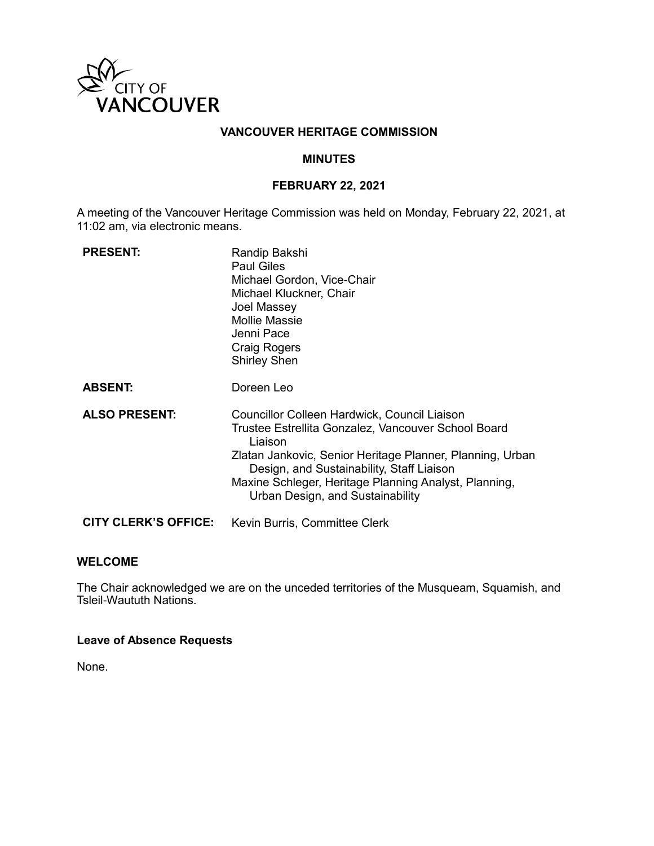

## **VANCOUVER HERITAGE COMMISSION**

#### **MINUTES**

#### **FEBRUARY 22, 2021**

A meeting of the Vancouver Heritage Commission was held on Monday, February 22, 2021, at 11:02 am, via electronic means.

| <b>PRESENT:</b>             | Randip Bakshi<br><b>Paul Giles</b><br>Michael Gordon, Vice-Chair<br>Michael Kluckner, Chair<br>Joel Massey<br><b>Mollie Massie</b><br>Jenni Pace<br>Craig Rogers<br><b>Shirley Shen</b>                                                                                                                               |
|-----------------------------|-----------------------------------------------------------------------------------------------------------------------------------------------------------------------------------------------------------------------------------------------------------------------------------------------------------------------|
| <b>ABSENT:</b>              | Doreen Leo                                                                                                                                                                                                                                                                                                            |
| <b>ALSO PRESENT:</b>        | Councillor Colleen Hardwick, Council Liaison<br>Trustee Estrellita Gonzalez, Vancouver School Board<br>Liaison<br>Zlatan Jankovic, Senior Heritage Planner, Planning, Urban<br>Design, and Sustainability, Staff Liaison<br>Maxine Schleger, Heritage Planning Analyst, Planning,<br>Urban Design, and Sustainability |
| <b>CITY CLERK'S OFFICE:</b> | Kevin Burris, Committee Clerk                                                                                                                                                                                                                                                                                         |

#### **WELCOME**

The Chair acknowledged we are on the unceded territories of the Musqueam, Squamish, and Tsleil-Waututh Nations.

#### **Leave of Absence Requests**

None.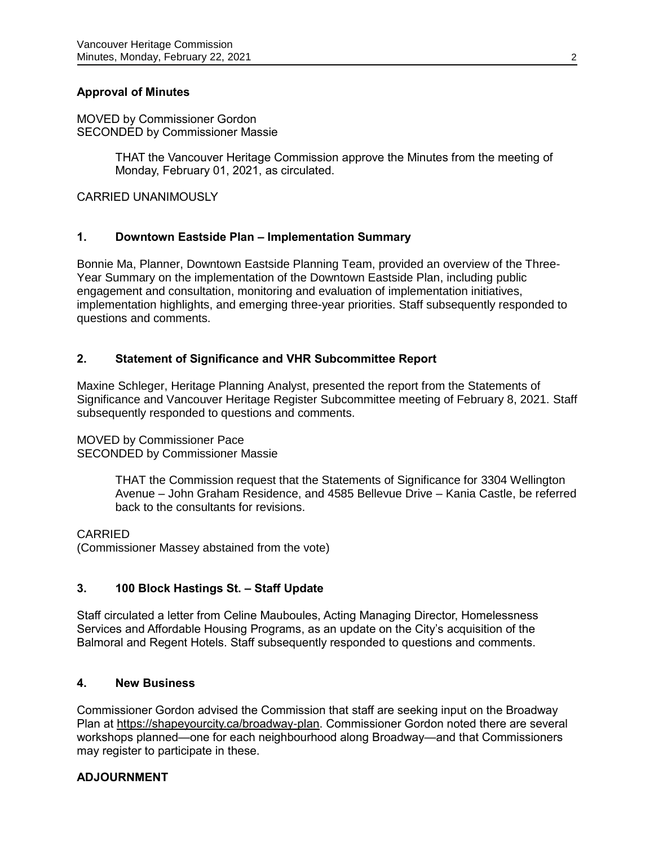## **Approval of Minutes**

MOVED by Commissioner Gordon SECONDED by Commissioner Massie

> THAT the Vancouver Heritage Commission approve the Minutes from the meeting of Monday, February 01, 2021, as circulated.

CARRIED UNANIMOUSLY

### **1. Downtown Eastside Plan – Implementation Summary**

Bonnie Ma, Planner, Downtown Eastside Planning Team, provided an overview of the Three-Year Summary on the implementation of the Downtown Eastside Plan, including public engagement and consultation, monitoring and evaluation of implementation initiatives, implementation highlights, and emerging three-year priorities. Staff subsequently responded to questions and comments.

#### **2. Statement of Significance and VHR Subcommittee Report**

Maxine Schleger, Heritage Planning Analyst, presented the report from the Statements of Significance and Vancouver Heritage Register Subcommittee meeting of February 8, 2021. Staff subsequently responded to questions and comments.

#### MOVED by Commissioner Pace

SECONDED by Commissioner Massie

THAT the Commission request that the Statements of Significance for 3304 Wellington Avenue – John Graham Residence, and 4585 Bellevue Drive – Kania Castle, be referred back to the consultants for revisions.

CARRIED

(Commissioner Massey abstained from the vote)

#### **3. 100 Block Hastings St. – Staff Update**

Staff circulated a letter from Celine Mauboules, Acting Managing Director, Homelessness Services and Affordable Housing Programs, as an update on the City's acquisition of the Balmoral and Regent Hotels. Staff subsequently responded to questions and comments.

#### **4. New Business**

Commissioner Gordon advised the Commission that staff are seeking input on the Broadway Plan at [https://shapeyourcity.ca/broadway-plan.](https://shapeyourcity.ca/broadway-plan) Commissioner Gordon noted there are several workshops planned—one for each neighbourhood along Broadway—and that Commissioners may register to participate in these.

#### **ADJOURNMENT**